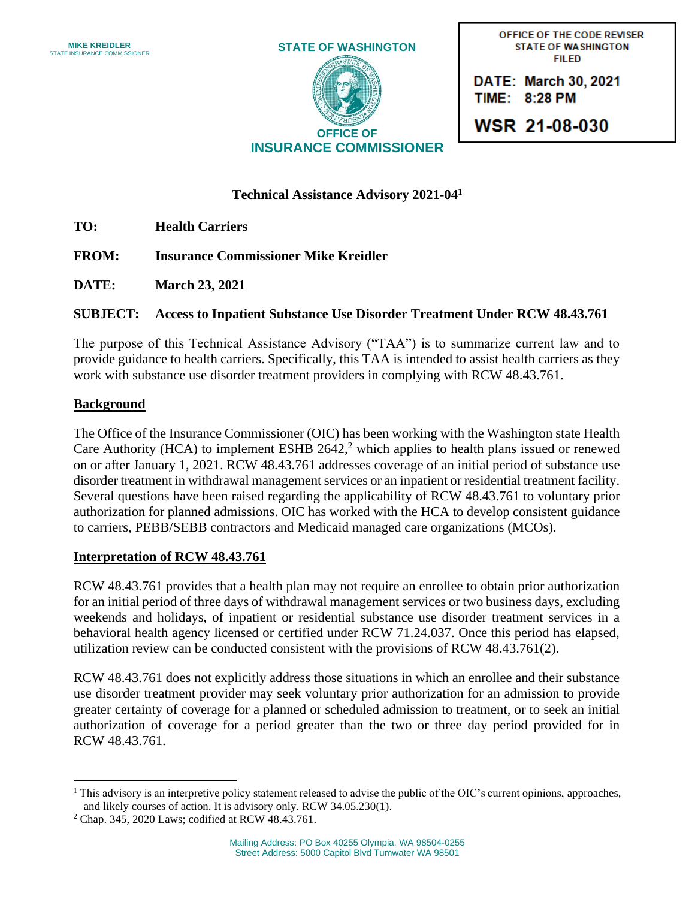

OFFICE OF THE CODE REVISER **STATE OF WASHINGTON FILED** 

DATE: March 30, 2021 TIME: 8:28 PM

**WSR 21-08-030** 

## **Technical Assistance Advisory 2021-04<sup>1</sup>**

- **TO: Health Carriers**
- **FROM: Insurance Commissioner Mike Kreidler**
- **DATE: March 23, 2021**

## **SUBJECT: Access to Inpatient Substance Use Disorder Treatment Under RCW 48.43.761**

The purpose of this Technical Assistance Advisory ("TAA") is to summarize current law and to provide guidance to health carriers. Specifically, this TAA is intended to assist health carriers as they work with substance use disorder treatment providers in complying with RCW 48.43.761.

## **Background**

The Office of the Insurance Commissioner (OIC) has been working with the Washington state Health Care Authority (HCA) to implement ESHB  $2642$ ,<sup>2</sup> which applies to health plans issued or renewed on or after January 1, 2021. RCW 48.43.761 addresses coverage of an initial period of substance use disorder treatment in withdrawal management services or an inpatient or residential treatment facility. Several questions have been raised regarding the applicability of RCW 48.43.761 to voluntary prior authorization for planned admissions. OIC has worked with the HCA to develop consistent guidance to carriers, PEBB/SEBB contractors and Medicaid managed care organizations (MCOs).

## **Interpretation of RCW 48.43.761**

RCW 48.43.761 provides that a health plan may not require an enrollee to obtain prior authorization for an initial period of three days of withdrawal management services or two business days, excluding weekends and holidays, of inpatient or residential substance use disorder treatment services in a behavioral health agency licensed or certified under RCW 71.24.037. Once this period has elapsed, utilization review can be conducted consistent with the provisions of RCW 48.43.761(2).

RCW 48.43.761 does not explicitly address those situations in which an enrollee and their substance use disorder treatment provider may seek voluntary prior authorization for an admission to provide greater certainty of coverage for a planned or scheduled admission to treatment, or to seek an initial authorization of coverage for a period greater than the two or three day period provided for in RCW 48.43.761.

 $<sup>1</sup>$  This advisory is an interpretive policy statement released to advise the public of the OIC's current opinions, approaches,</sup> and likely courses of action. It is advisory only. RCW 34.05.230(1).

<sup>2</sup> Chap. 345, 2020 Laws; codified at RCW 48.43.761.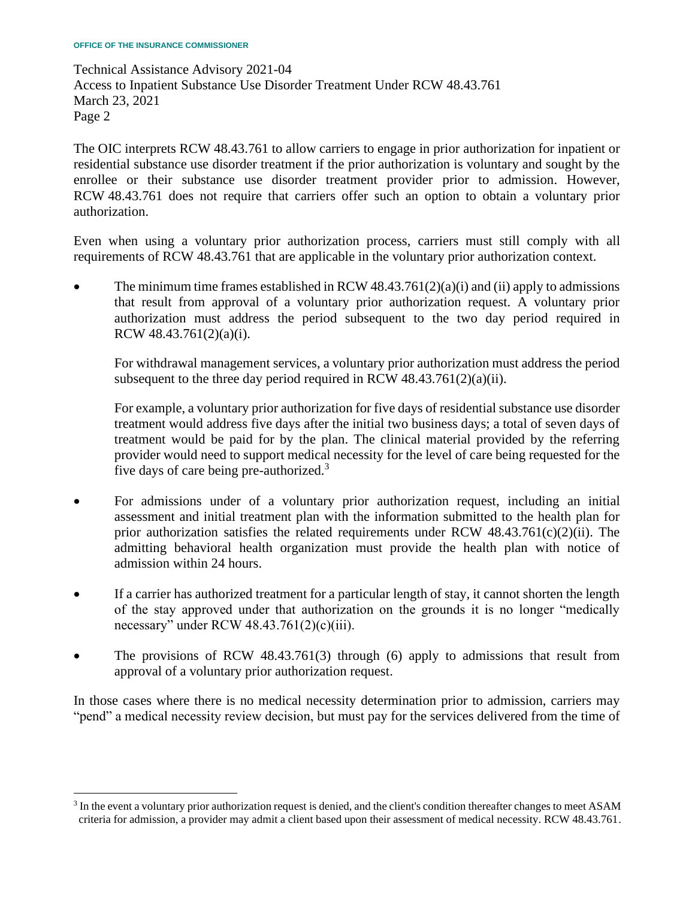Technical Assistance Advisory 2021-04 Access to Inpatient Substance Use Disorder Treatment Under RCW 48.43.761 March 23, 2021 Page 2

The OIC interprets RCW 48.43.761 to allow carriers to engage in prior authorization for inpatient or residential substance use disorder treatment if the prior authorization is voluntary and sought by the enrollee or their substance use disorder treatment provider prior to admission. However, RCW 48.43.761 does not require that carriers offer such an option to obtain a voluntary prior authorization.

Even when using a voluntary prior authorization process, carriers must still comply with all requirements of RCW 48.43.761 that are applicable in the voluntary prior authorization context.

The minimum time frames established in RCW  $48.43.761(2)(a)(i)$  and (ii) apply to admissions that result from approval of a voluntary prior authorization request. A voluntary prior authorization must address the period subsequent to the two day period required in RCW 48.43.761(2)(a)(i).

For withdrawal management services, a voluntary prior authorization must address the period subsequent to the three day period required in RCW  $48.43.761(2)(a)(ii)$ .

For example, a voluntary prior authorization for five days of residential substance use disorder treatment would address five days after the initial two business days; a total of seven days of treatment would be paid for by the plan. The clinical material provided by the referring provider would need to support medical necessity for the level of care being requested for the five days of care being pre-authorized.<sup>3</sup>

- For admissions under of a voluntary prior authorization request, including an initial assessment and initial treatment plan with the information submitted to the health plan for prior authorization satisfies the related requirements under RCW  $48.43.761(c)(2)(ii)$ . The admitting behavioral health organization must provide the health plan with notice of admission within 24 hours.
- If a carrier has authorized treatment for a particular length of stay, it cannot shorten the length of the stay approved under that authorization on the grounds it is no longer "medically necessary" under RCW 48.43.761(2)(c)(iii).
- The provisions of RCW  $48.43.761(3)$  through (6) apply to admissions that result from approval of a voluntary prior authorization request.

In those cases where there is no medical necessity determination prior to admission, carriers may "pend" a medical necessity review decision, but must pay for the services delivered from the time of

<sup>&</sup>lt;sup>3</sup> In the event a voluntary prior authorization request is denied, and the client's condition thereafter changes to meet ASAM criteria for admission, a provider may admit a client based upon their assessment of medical necessity. RCW 48.43.761.